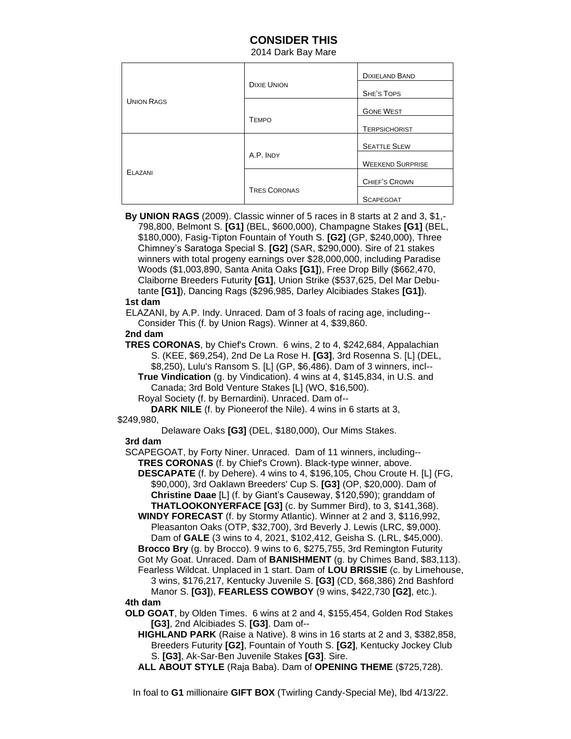# **CONSIDER THIS**

2014 Dark Bay Mare

| <b>UNION RAGS</b> | <b>DIXIE UNION</b>  | <b>DIXIELAND BAND</b>   |
|-------------------|---------------------|-------------------------|
|                   |                     | <b>SHE'S TOPS</b>       |
|                   | <b>TEMPO</b>        | <b>GONE WEST</b>        |
|                   |                     | <b>TERPSICHORIST</b>    |
| ELAZANI           | A.P. INDY           | <b>SEATTLE SLEW</b>     |
|                   |                     | <b>WEEKEND SURPRISE</b> |
|                   | <b>TRES CORONAS</b> | CHIEF'S CROWN           |
|                   |                     | <b>SCAPEGOAT</b>        |

 **By UNION RAGS** (2009). Classic winner of 5 races in 8 starts at 2 and 3, \$1,- 798,800, Belmont S. **[G1]** (BEL, \$600,000), Champagne Stakes **[G1]** (BEL, \$180,000), Fasig-Tipton Fountain of Youth S. **[G2]** (GP, \$240,000), Three Chimney's Saratoga Special S. **[G2]** (SAR, \$290,000). Sire of 21 stakes winners with total progeny earnings over \$28,000,000, including Paradise Woods (\$1,003,890, Santa Anita Oaks **[G1]**), Free Drop Billy (\$662,470, Claiborne Breeders Futurity **[G1]**, Union Strike (\$537,625, Del Mar Debu tante **[G1]**), Dancing Rags (\$296,985, Darley Alcibiades Stakes **[G1]**).

#### **1st dam**

ELAZANI, by A.P. Indy. Unraced. Dam of 3 foals of racing age, including-- Consider This (f. by Union Rags). Winner at 4, \$39,860.

#### **2nd dam**

 **TRES CORONAS**, by Chief's Crown. 6 wins, 2 to 4, \$242,684, Appalachian S. (KEE, \$69,254), 2nd De La Rose H. **[G3]**, 3rd Rosenna S. [L] (DEL, \$8,250), Lulu's Ransom S. [L] (GP, \$6,486). Dam of 3 winners, incl--

 **True Vindication** (g. by Vindication). 4 wins at 4, \$145,834, in U.S. and Canada; 3rd Bold Venture Stakes [L] (WO, \$16,500).

Royal Society (f. by Bernardini). Unraced. Dam of--

 **DARK NILE** (f. by Pioneerof the Nile). 4 wins in 6 starts at 3,

#### \$249,980,

Delaware Oaks **[G3]** (DEL, \$180,000), Our Mims Stakes.

## **3rd dam**

 SCAPEGOAT, by Forty Niner. Unraced. Dam of 11 winners, including--  **TRES CORONAS** (f. by Chief's Crown). Black-type winner, above.

 **DESCAPATE** (f. by Dehere). 4 wins to 4, \$196,105, Chou Croute H. [L] (FG, \$90,000), 3rd Oaklawn Breeders' Cup S. **[G3]** (OP, \$20,000). Dam of **Christine Daae** [L] (f. by Giant's Causeway, \$120,590); granddam of  **THATLOOKONYERFACE [G3]** (c. by Summer Bird), to 3, \$141,368).

 **WINDY FORECAST** (f. by Stormy Atlantic). Winner at 2 and 3, \$116,992, Pleasanton Oaks (OTP, \$32,700), 3rd Beverly J. Lewis (LRC, \$9,000). Dam of **GALE** (3 wins to 4, 2021, \$102,412, Geisha S. (LRL, \$45,000).

 **Brocco Bry** (g. by Brocco). 9 wins to 6, \$275,755, 3rd Remington Futurity Got My Goat. Unraced. Dam of **BANISHMENT** (g. by Chimes Band, \$83,113).

 Fearless Wildcat. Unplaced in 1 start. Dam of **LOU BRISSIE** (c. by Limehouse, 3 wins, \$176,217, Kentucky Juvenile S. **[G3]** (CD, \$68,386) 2nd Bashford

 Manor S. **[G3]**), **FEARLESS COWBOY** (9 wins, \$422,730 **[G2]**, etc.). **4th dam**

 **OLD GOAT**, by Olden Times. 6 wins at 2 and 4, \$155,454, Golden Rod Stakes **[G3]**, 2nd Alcibiades S. **[G3]**. Dam of--

 **HIGHLAND PARK** (Raise a Native). 8 wins in 16 starts at 2 and 3, \$382,858, Breeders Futurity **[G2]**, Fountain of Youth S. **[G2]**, Kentucky Jockey Club S. **[G3]**, Ak-Sar-Ben Juvenile Stakes **[G3]**. Sire.

**ALL ABOUT STYLE** (Raja Baba). Dam of **OPENING THEME** (\$725,728).